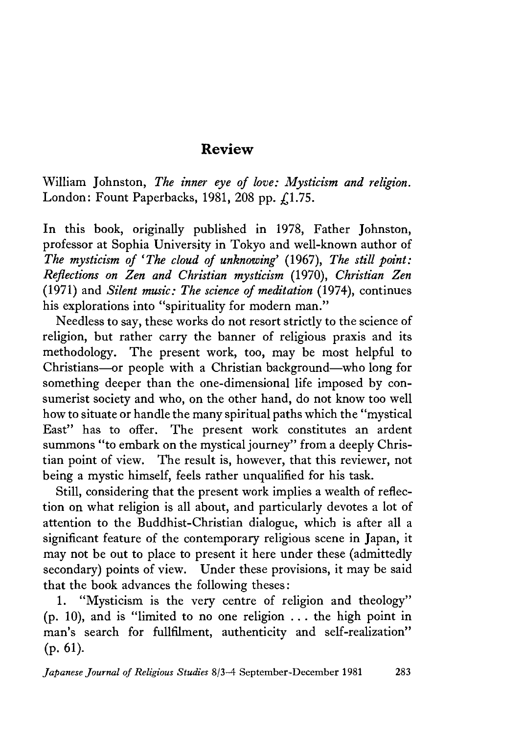## **Review**

William Johnston, *The inner eye of love: Mysticism and religion*. London: Fount Paperbacks, 1981, 208 pp.  $\Lambda$ 1.75.

In this book, originally published in 1978, Father Johnston, professor at Sophia University in Tokyo and well-known author of *The mysticism of 'The cloud of unknowing' (1967), The still point: Reflections on Zen and Christian mysticism* (1970), *Christian Zen* (1971) and *Silent music: The science of meditation* (1974), continues his explorations into "spirituality for modern man."

Needless to say, these works do not resort strictly to the science of religion, but rather carry the banner of religious praxis and its methodology. The present work, too, may be most helpful to Christians~or people with a Christian background—who long for something deeper than the one-dimensional life imposed by consumerist society and who, on the other hand, do not know too well how to situate or handle the many spiritual paths which the "mystical East" has to offer. The present work constitutes an ardent summons "to embark on the mystical journey" from a deeply Christian point of view. The result is, however, that this reviewer, not being a mystic himself, feels rather unqualified for his task.

Still, considering that the present work implies a wealth of reflection on what religion is all about, and particularly devotes a lot of attention to the Buddhist-Christian dialogue, which is after all a significant feature of the contemporary religious scene in Japan, it may not be out to place to present it here under these (admittedly secondary) points of view. Under these provisions, it may be said that the book advances the following theses:

1. "Mysticism is the very centre of religion and theology"  $(p. 10)$ , and is "limited to no one religion ... the high point in man's search for fullfilment, authenticity and self-realization"  $(p. 61)$ .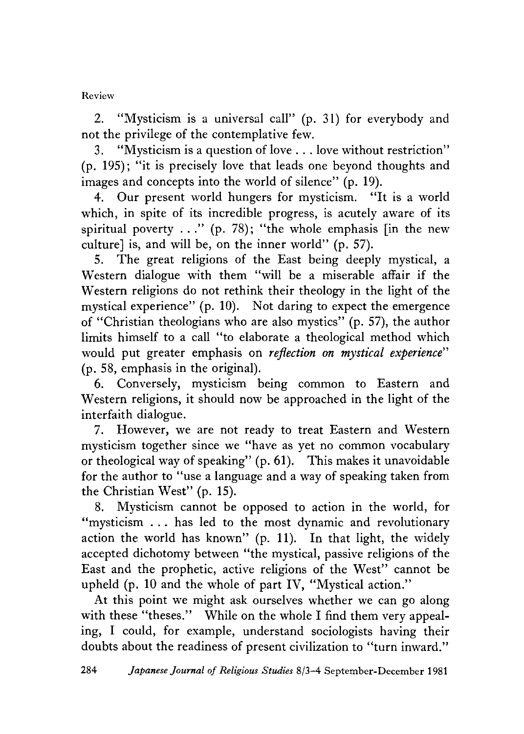## Review

2. "Mysticism is a universal call" (p. 31) for everybody and not the privilege of the contemplative few.

3. "Mysticism is a question of love . . . love without restriction" (p. 195); "it is precisely love that leads one beyond thoughts and images and concepts into the world of silence"  $(p. 19)$ .

4. Our present world hungers for mysticism. "It is a world which, in spite of its incredible progress, is acutely aware of its spiritual poverty  $\dots$ " (p. 78); "the whole emphasis [in the new culture] is, and will be, on the inner world" (p. 57).

5. The great religions of the East being deeply mystical,a Western dialogue with them "will be a miserable affair if the Western religions do not rethink their theology in the light of the mystical experience" (p. 10). Not daring to expect the emergence of "Christian theologians who are also mystics" (p. 57), the author limits himself to a call "to elaborate a theological method which would put greater emphasis on *reflection on mystical experience"* (p. 58,emphasis in the original).

6. Conversely, mysticism being common to Eastern and Western religions, it should now be approached in the light of the interfaith dialogue.

. However, we are not ready to treat Eastern and Western mysticism together since we "have as yet no common vocabulary or theological way of speaking" (p. 61). This makes it unavoidable for the author to ''use a language and a way of speaking taken from the Christian West"  $(p. 15)$ .

8. Mysticism cannot be opposed to action in the world, for "mysticism . . . has led to the most dynamic and revolutionary action the world has known" (p. 11). In that light, the widely accepted dichotomy between "the mystical, passive religions of the East and the prophetic, active religions of the West" cannot be upheld (p.10 and the whole of part IV, "Mystical action."

At this point we might ask ourselves whether we can go along with these "theses." While on the whole I find them very appealing, I could, for example, understand sociologists having their doubts about the readiness of present civilization to "turn inward."